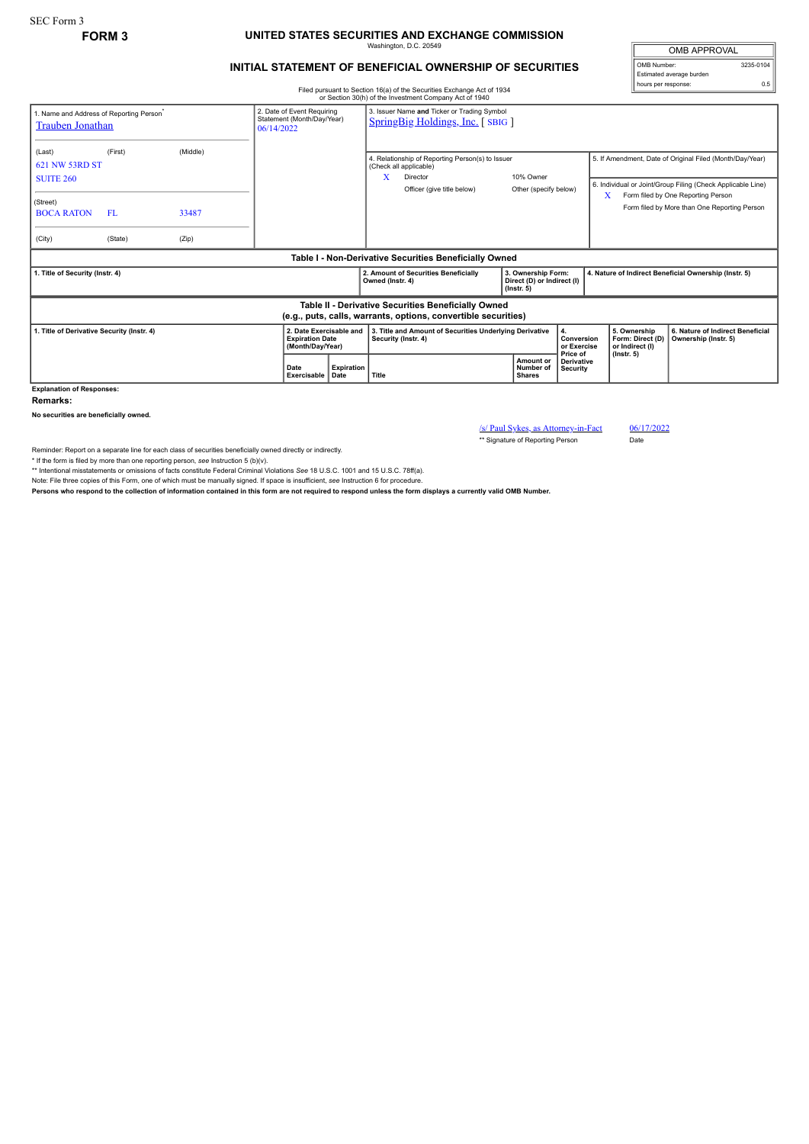## SEC Form 3

## **FORM 3 UNITED STATES SECURITIES AND EXCHANGE COMMISSION** Washington, D.C. 20549

## **INITIAL STATEMENT OF BENEFICIAL OWNERSHIP OF SECURITIES**

OMB APPROVAL OMB Number: 3235-0104 Estimated average burden hours per response: 0.5

Filed pursuant to Section 16(a) of the Securities Exchange Act of 1934 or Section 30(h) of the Investment Company Act of 1940

|                                                                                                                       |                                                                        |       |                                                                                        |                                                 |                                                                                                                                                                 | or Secuon 30(n) or the investment Company Act or 1940                          |                                                                      |                                                                                                                         |                           |                                                                         |                                                                                    |
|-----------------------------------------------------------------------------------------------------------------------|------------------------------------------------------------------------|-------|----------------------------------------------------------------------------------------|-------------------------------------------------|-----------------------------------------------------------------------------------------------------------------------------------------------------------------|--------------------------------------------------------------------------------|----------------------------------------------------------------------|-------------------------------------------------------------------------------------------------------------------------|---------------------------|-------------------------------------------------------------------------|------------------------------------------------------------------------------------|
| 1. Name and Address of Reporting Person <sup>*</sup><br><b>Trauben Jonathan</b>                                       | 2. Date of Event Requiring<br>Statement (Month/Day/Year)<br>06/14/2022 |       | 3. Issuer Name and Ticker or Trading Symbol<br><b>SpringBig Holdings, Inc.</b> [SBIG ] |                                                 |                                                                                                                                                                 |                                                                                |                                                                      |                                                                                                                         |                           |                                                                         |                                                                                    |
| (Last)<br>621 NW 53RD ST<br><b>SUITE 260</b>                                                                          | (Middle)<br>(First)                                                    |       |                                                                                        |                                                 | 4. Relationship of Reporting Person(s) to Issuer<br>(Check all applicable)<br>10% Owner<br>x<br>Director<br>Officer (give title below)<br>Other (specify below) |                                                                                |                                                                      | 5. If Amendment, Date of Original Filed (Month/Day/Year)<br>6. Individual or Joint/Group Filing (Check Applicable Line) |                           |                                                                         |                                                                                    |
| (Street)<br><b>BOCA RATON</b>                                                                                         | FL.                                                                    | 33487 |                                                                                        |                                                 |                                                                                                                                                                 |                                                                                |                                                                      |                                                                                                                         |                           | X                                                                       | Form filed by One Reporting Person<br>Form filed by More than One Reporting Person |
| (City)                                                                                                                | (State)                                                                | (Zip) |                                                                                        |                                                 |                                                                                                                                                                 |                                                                                |                                                                      |                                                                                                                         |                           |                                                                         |                                                                                    |
| Table I - Non-Derivative Securities Beneficially Owned                                                                |                                                                        |       |                                                                                        |                                                 |                                                                                                                                                                 |                                                                                |                                                                      |                                                                                                                         |                           |                                                                         |                                                                                    |
| 1. Title of Security (Instr. 4)                                                                                       |                                                                        |       |                                                                                        |                                                 | Owned (Instr. 4)                                                                                                                                                | 2. Amount of Securities Beneficially                                           | 3. Ownership Form:<br>Direct (D) or Indirect (I)<br>$($ lnstr. 5 $)$ |                                                                                                                         |                           | 4. Nature of Indirect Beneficial Ownership (Instr. 5)                   |                                                                                    |
| Table II - Derivative Securities Beneficially Owned<br>(e.g., puts, calls, warrants, options, convertible securities) |                                                                        |       |                                                                                        |                                                 |                                                                                                                                                                 |                                                                                |                                                                      |                                                                                                                         |                           |                                                                         |                                                                                    |
| 1. Title of Derivative Security (Instr. 4)                                                                            |                                                                        |       | 2. Date Exercisable and<br><b>Expiration Date</b><br>(Month/Day/Year)                  |                                                 |                                                                                                                                                                 | 3. Title and Amount of Securities Underlying Derivative<br>Security (Instr. 4) |                                                                      | Price of                                                                                                                | Conversion<br>or Exercise | 5. Ownership<br>Form: Direct (D)<br>or Indirect (I)<br>$($ lnstr. 5 $)$ | 6. Nature of Indirect Beneficial<br>Ownership (Instr. 5)                           |
|                                                                                                                       |                                                                        |       | Date                                                                                   | <b>Expiration</b><br>Exercisable<br><b>Date</b> | Title                                                                                                                                                           |                                                                                | Amount or<br>Number of<br><b>Shares</b>                              | Security                                                                                                                | <b>Derivative</b>         |                                                                         |                                                                                    |
| <b>Explanation of Responses:</b>                                                                                      |                                                                        |       |                                                                                        |                                                 |                                                                                                                                                                 |                                                                                |                                                                      |                                                                                                                         |                           |                                                                         |                                                                                    |

**Remarks:**

**No securities are beneficially owned.**

/s/ Paul Sykes, as Attorney-in-Fact 06/17/2022

\*\* Signature of Reporting Person Date

Reminder: Report on a separate line for each class of securities beneficially owned directly or indirectly.

\* If the form is filed by more than one reporting person, see Instruction 5 (b)(v).<br>\*\* Intentional misstatements or omissions of facts constitute Federal Criminal Violations See 18 U.S.C. 1001 and 15 U.S.C. 78ff(a).

Note: File three copies of this Form, one of which must be manually signed. If space is insufficient, *see* Instruction 6 for procedure.

**Persons who respond to the collection of information contained in this form are not required to respond unless the form displays a currently valid OMB Number.**